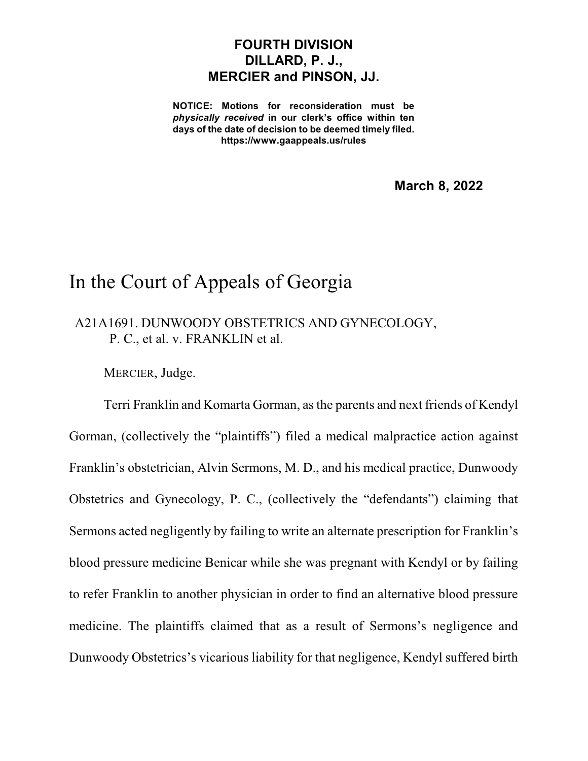## **FOURTH DIVISION DILLARD, P. J., MERCIER and PINSON, JJ.**

**NOTICE: Motions for reconsideration must be** *physically received* **in our clerk's office within ten days of the date of decision to be deemed timely filed. https://www.gaappeals.us/rules**

**March 8, 2022**

## In the Court of Appeals of Georgia

A21A1691. DUNWOODY OBSTETRICS AND GYNECOLOGY, P. C., et al. v. FRANKLIN et al.

MERCIER, Judge.

Terri Franklin and Komarta Gorman, asthe parents and next friends of Kendyl Gorman, (collectively the "plaintiffs") filed a medical malpractice action against Franklin's obstetrician, Alvin Sermons, M. D., and his medical practice, Dunwoody Obstetrics and Gynecology, P. C., (collectively the "defendants") claiming that Sermons acted negligently by failing to write an alternate prescription for Franklin's blood pressure medicine Benicar while she was pregnant with Kendyl or by failing to refer Franklin to another physician in order to find an alternative blood pressure medicine. The plaintiffs claimed that as a result of Sermons's negligence and Dunwoody Obstetrics's vicarious liability for that negligence, Kendyl suffered birth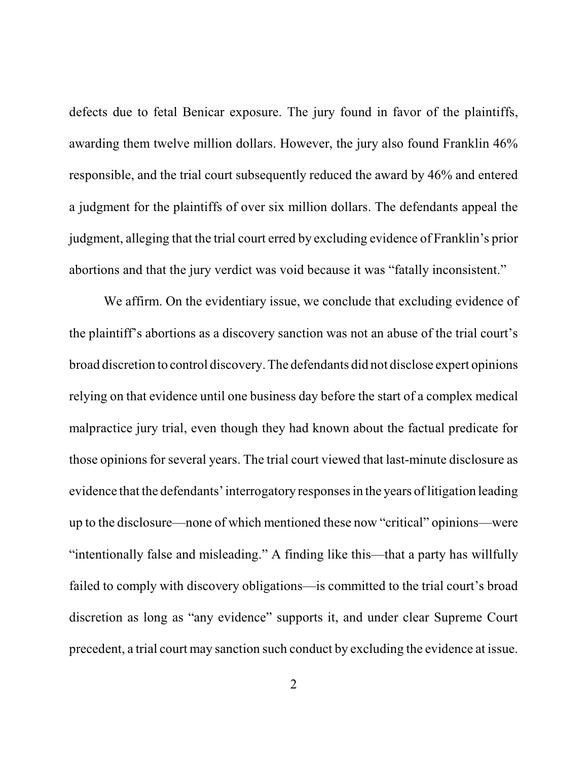defects due to fetal Benicar exposure. The jury found in favor of the plaintiffs, awarding them twelve million dollars. However, the jury also found Franklin 46% responsible, and the trial court subsequently reduced the award by 46% and entered a judgment for the plaintiffs of over six million dollars. The defendants appeal the judgment, alleging that the trial court erred by excluding evidence of Franklin's prior abortions and that the jury verdict was void because it was "fatally inconsistent."

We affirm. On the evidentiary issue, we conclude that excluding evidence of the plaintiff's abortions as a discovery sanction was not an abuse of the trial court's broad discretion to control discovery. The defendants did not disclose expert opinions relying on that evidence until one business day before the start of a complex medical malpractice jury trial, even though they had known about the factual predicate for those opinions for several years. The trial court viewed that last-minute disclosure as evidence that the defendants'interrogatory responsesin the years of litigation leading up to the disclosure—none of which mentioned these now "critical" opinions—were "intentionally false and misleading." A finding like this—that a party has willfully failed to comply with discovery obligations—is committed to the trial court's broad discretion as long as "any evidence" supports it, and under clear Supreme Court precedent, a trial court may sanction such conduct by excluding the evidence at issue.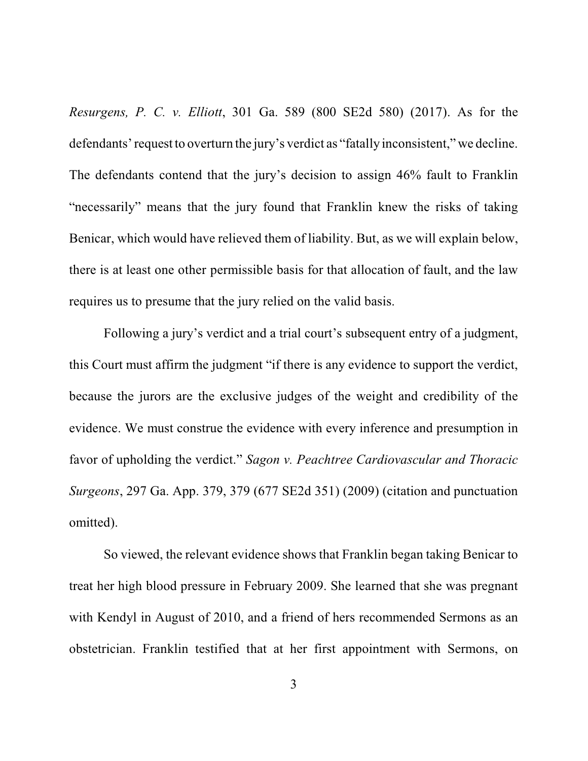*Resurgens, P. C. v. Elliott*, 301 Ga. 589 (800 SE2d 580) (2017). As for the defendants'request to overturn the jury's verdict as "fatally inconsistent," we decline. The defendants contend that the jury's decision to assign 46% fault to Franklin "necessarily" means that the jury found that Franklin knew the risks of taking Benicar, which would have relieved them of liability. But, as we will explain below, there is at least one other permissible basis for that allocation of fault, and the law requires us to presume that the jury relied on the valid basis.

Following a jury's verdict and a trial court's subsequent entry of a judgment, this Court must affirm the judgment "if there is any evidence to support the verdict, because the jurors are the exclusive judges of the weight and credibility of the evidence. We must construe the evidence with every inference and presumption in favor of upholding the verdict." *Sagon v. Peachtree Cardiovascular and Thoracic Surgeons*, 297 Ga. App. 379, 379 (677 SE2d 351) (2009) (citation and punctuation omitted).

So viewed, the relevant evidence shows that Franklin began taking Benicar to treat her high blood pressure in February 2009. She learned that she was pregnant with Kendyl in August of 2010, and a friend of hers recommended Sermons as an obstetrician. Franklin testified that at her first appointment with Sermons, on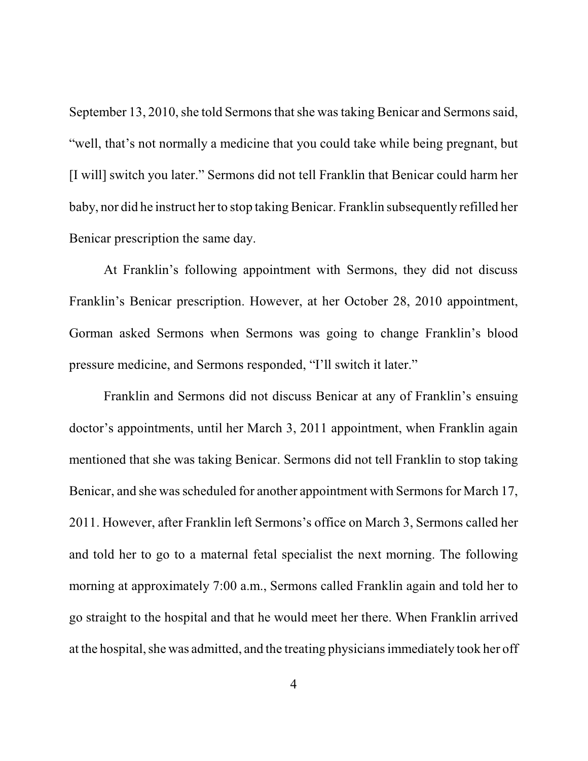September 13, 2010, she told Sermons that she was taking Benicar and Sermons said, "well, that's not normally a medicine that you could take while being pregnant, but [I will] switch you later." Sermons did not tell Franklin that Benicar could harm her baby, nor did he instruct her to stop taking Benicar. Franklin subsequently refilled her Benicar prescription the same day.

At Franklin's following appointment with Sermons, they did not discuss Franklin's Benicar prescription. However, at her October 28, 2010 appointment, Gorman asked Sermons when Sermons was going to change Franklin's blood pressure medicine, and Sermons responded, "I'll switch it later."

Franklin and Sermons did not discuss Benicar at any of Franklin's ensuing doctor's appointments, until her March 3, 2011 appointment, when Franklin again mentioned that she was taking Benicar. Sermons did not tell Franklin to stop taking Benicar, and she was scheduled for another appointment with Sermons for March 17, 2011. However, after Franklin left Sermons's office on March 3, Sermons called her and told her to go to a maternal fetal specialist the next morning. The following morning at approximately 7:00 a.m., Sermons called Franklin again and told her to go straight to the hospital and that he would meet her there. When Franklin arrived at the hospital, she was admitted, and the treating physicians immediately took her off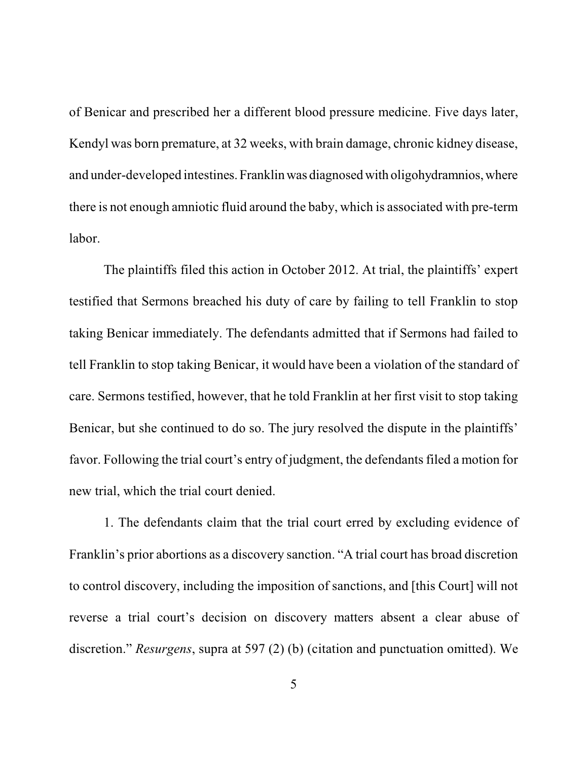of Benicar and prescribed her a different blood pressure medicine. Five days later, Kendyl was born premature, at 32 weeks, with brain damage, chronic kidney disease, and under-developed intestines.Franklin was diagnosed with oligohydramnios,where there is not enough amniotic fluid around the baby, which is associated with pre-term labor.

The plaintiffs filed this action in October 2012. At trial, the plaintiffs' expert testified that Sermons breached his duty of care by failing to tell Franklin to stop taking Benicar immediately. The defendants admitted that if Sermons had failed to tell Franklin to stop taking Benicar, it would have been a violation of the standard of care. Sermons testified, however, that he told Franklin at her first visit to stop taking Benicar, but she continued to do so. The jury resolved the dispute in the plaintiffs' favor. Following the trial court's entry of judgment, the defendants filed a motion for new trial, which the trial court denied.

1. The defendants claim that the trial court erred by excluding evidence of Franklin's prior abortions as a discovery sanction. "A trial court has broad discretion to control discovery, including the imposition of sanctions, and [this Court] will not reverse a trial court's decision on discovery matters absent a clear abuse of discretion." *Resurgens*, supra at 597 (2) (b) (citation and punctuation omitted). We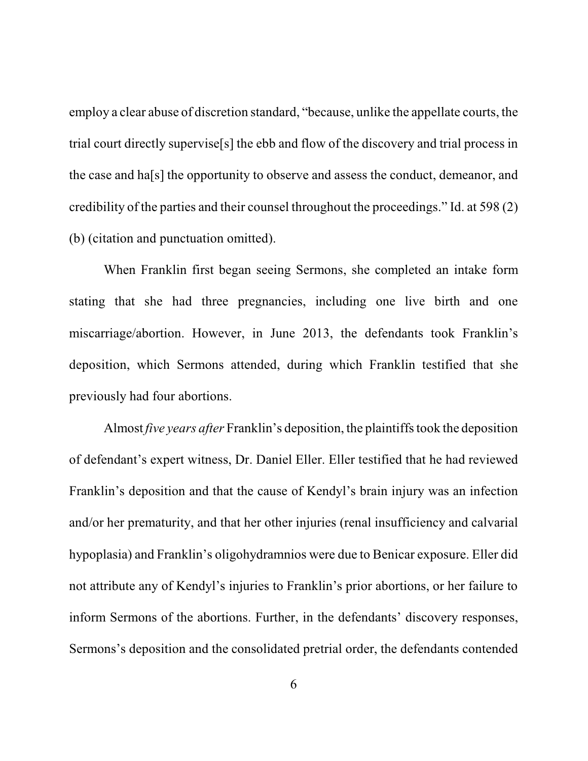employ a clear abuse of discretion standard, "because, unlike the appellate courts, the trial court directly supervise[s] the ebb and flow of the discovery and trial process in the case and ha[s] the opportunity to observe and assess the conduct, demeanor, and credibility of the parties and their counsel throughout the proceedings." Id. at 598 (2) (b) (citation and punctuation omitted).

When Franklin first began seeing Sermons, she completed an intake form stating that she had three pregnancies, including one live birth and one miscarriage/abortion. However, in June 2013, the defendants took Franklin's deposition, which Sermons attended, during which Franklin testified that she previously had four abortions.

Almost *five years after* Franklin's deposition, the plaintiffstook the deposition of defendant's expert witness, Dr. Daniel Eller. Eller testified that he had reviewed Franklin's deposition and that the cause of Kendyl's brain injury was an infection and/or her prematurity, and that her other injuries (renal insufficiency and calvarial hypoplasia) and Franklin's oligohydramnios were due to Benicar exposure. Eller did not attribute any of Kendyl's injuries to Franklin's prior abortions, or her failure to inform Sermons of the abortions. Further, in the defendants' discovery responses, Sermons's deposition and the consolidated pretrial order, the defendants contended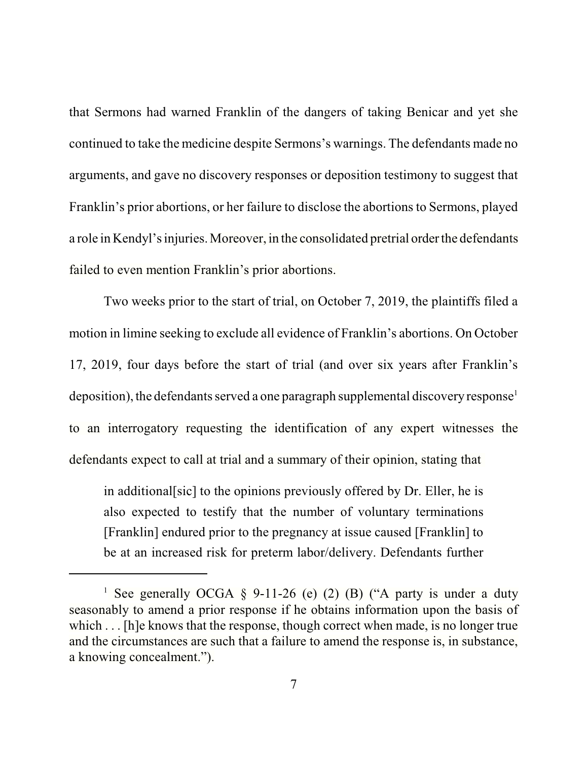that Sermons had warned Franklin of the dangers of taking Benicar and yet she continued to take the medicine despite Sermons's warnings. The defendants made no arguments, and gave no discovery responses or deposition testimony to suggest that Franklin's prior abortions, or her failure to disclose the abortions to Sermons, played a role in Kendyl's injuries. Moreover, in the consolidated pretrial order the defendants failed to even mention Franklin's prior abortions.

Two weeks prior to the start of trial, on October 7, 2019, the plaintiffs filed a motion in limine seeking to exclude all evidence of Franklin's abortions. On October 17, 2019, four days before the start of trial (and over six years after Franklin's deposition), the defendants served a one paragraph supplemental discovery response<sup>1</sup> to an interrogatory requesting the identification of any expert witnesses the defendants expect to call at trial and a summary of their opinion, stating that

in additional[sic] to the opinions previously offered by Dr. Eller, he is also expected to testify that the number of voluntary terminations [Franklin] endured prior to the pregnancy at issue caused [Franklin] to be at an increased risk for preterm labor/delivery. Defendants further

<sup>&</sup>lt;sup>1</sup> See generally OCGA  $\S$  9-11-26 (e) (2) (B) ("A party is under a duty seasonably to amend a prior response if he obtains information upon the basis of which . . . [h]e knows that the response, though correct when made, is no longer true and the circumstances are such that a failure to amend the response is, in substance, a knowing concealment.").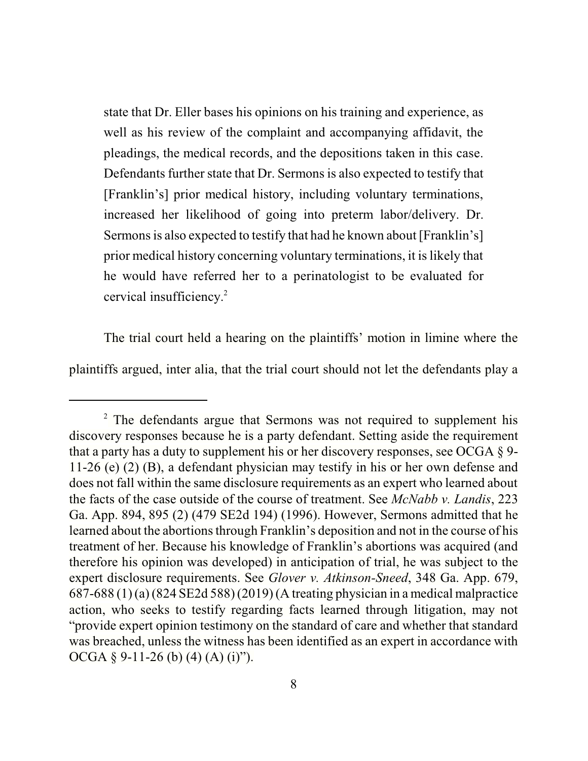state that Dr. Eller bases his opinions on his training and experience, as well as his review of the complaint and accompanying affidavit, the pleadings, the medical records, and the depositions taken in this case. Defendants further state that Dr. Sermons is also expected to testify that [Franklin's] prior medical history, including voluntary terminations, increased her likelihood of going into preterm labor/delivery. Dr. Sermons is also expected to testify that had he known about [Franklin's] prior medical history concerning voluntary terminations, it is likely that he would have referred her to a perinatologist to be evaluated for cervical insufficiency. 2

The trial court held a hearing on the plaintiffs' motion in limine where the plaintiffs argued, inter alia, that the trial court should not let the defendants play a

<sup>&</sup>lt;sup>2</sup> The defendants argue that Sermons was not required to supplement his discovery responses because he is a party defendant. Setting aside the requirement that a party has a duty to supplement his or her discovery responses, see OCGA § 9- 11-26 (e) (2) (B), a defendant physician may testify in his or her own defense and does not fall within the same disclosure requirements as an expert who learned about the facts of the case outside of the course of treatment. See *McNabb v. Landis*, 223 Ga. App. 894, 895 (2) (479 SE2d 194) (1996). However, Sermons admitted that he learned about the abortions through Franklin's deposition and not in the course of his treatment of her. Because his knowledge of Franklin's abortions was acquired (and therefore his opinion was developed) in anticipation of trial, he was subject to the expert disclosure requirements. See *Glover v. Atkinson-Sneed*, 348 Ga. App. 679, 687-688 (1) (a) (824 SE2d 588) (2019) (A treating physician in a medical malpractice action, who seeks to testify regarding facts learned through litigation, may not "provide expert opinion testimony on the standard of care and whether that standard was breached, unless the witness has been identified as an expert in accordance with OCGA § 9-11-26 (b) (4) (A) (i)").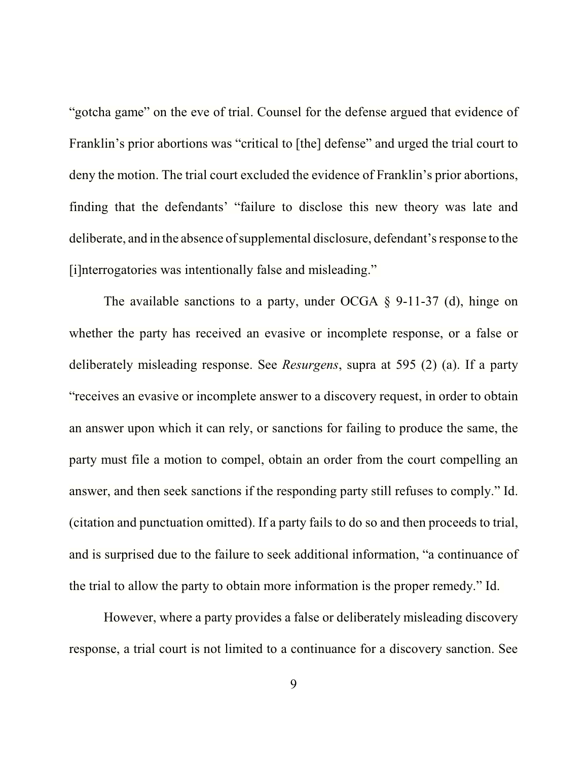"gotcha game" on the eve of trial. Counsel for the defense argued that evidence of Franklin's prior abortions was "critical to [the] defense" and urged the trial court to deny the motion. The trial court excluded the evidence of Franklin's prior abortions, finding that the defendants' "failure to disclose this new theory was late and deliberate, and in the absence of supplemental disclosure, defendant'sresponse to the [i]nterrogatories was intentionally false and misleading."

The available sanctions to a party, under OCGA § 9-11-37 (d), hinge on whether the party has received an evasive or incomplete response, or a false or deliberately misleading response. See *Resurgens*, supra at 595 (2) (a). If a party "receives an evasive or incomplete answer to a discovery request, in order to obtain an answer upon which it can rely, or sanctions for failing to produce the same, the party must file a motion to compel, obtain an order from the court compelling an answer, and then seek sanctions if the responding party still refuses to comply." Id. (citation and punctuation omitted). If a party fails to do so and then proceeds to trial, and is surprised due to the failure to seek additional information, "a continuance of the trial to allow the party to obtain more information is the proper remedy." Id.

However, where a party provides a false or deliberately misleading discovery response, a trial court is not limited to a continuance for a discovery sanction. See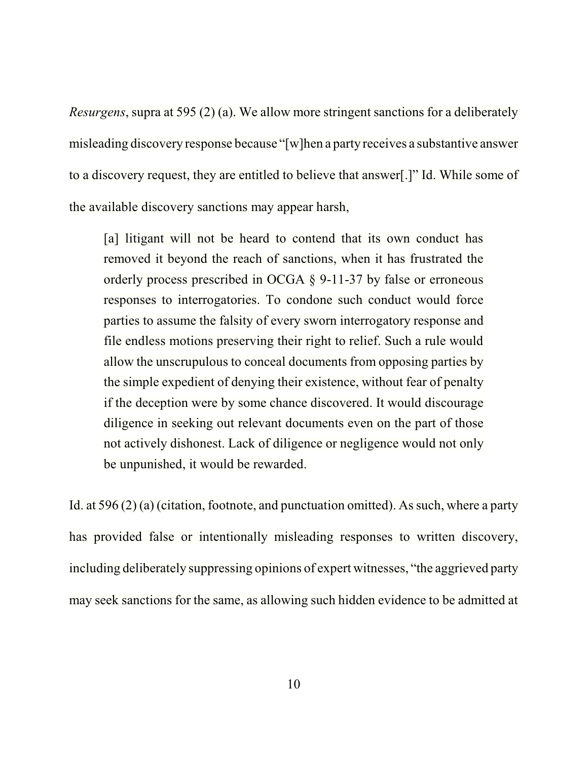*Resurgens*, supra at 595 (2) (a). We allow more stringent sanctions for a deliberately misleading discovery response because "[w]hen a party receives a substantive answer to a discovery request, they are entitled to believe that answer[.]" Id. While some of the available discovery sanctions may appear harsh,

[a] litigant will not be heard to contend that its own conduct has removed it beyond the reach of sanctions, when it has frustrated the orderly process prescribed in OCGA § 9-11-37 by false or erroneous responses to interrogatories. To condone such conduct would force parties to assume the falsity of every sworn interrogatory response and file endless motions preserving their right to relief. Such a rule would allow the unscrupulous to conceal documents from opposing parties by the simple expedient of denying their existence, without fear of penalty if the deception were by some chance discovered. It would discourage diligence in seeking out relevant documents even on the part of those not actively dishonest. Lack of diligence or negligence would not only be unpunished, it would be rewarded.

Id. at  $596(2)(a)$  (citation, footnote, and punctuation omitted). As such, where a party has provided false or intentionally misleading responses to written discovery, including deliberately suppressing opinions of expert witnesses, "the aggrieved party may seek sanctions for the same, as allowing such hidden evidence to be admitted at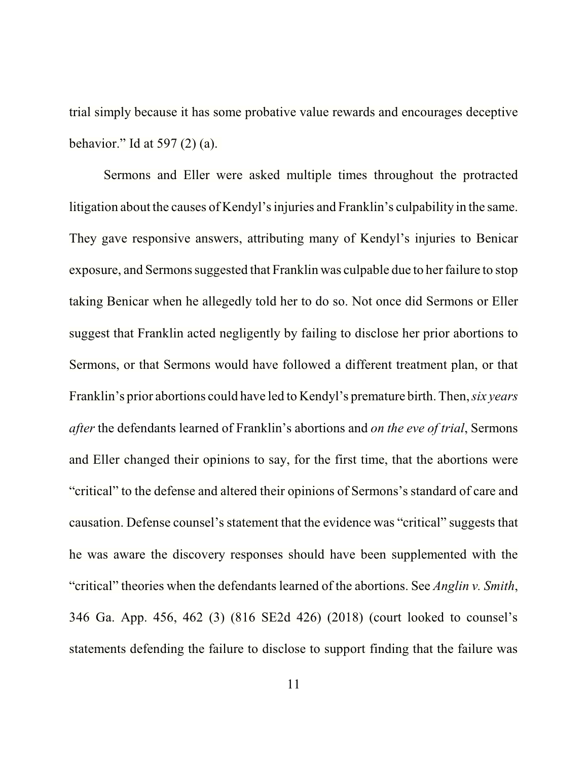trial simply because it has some probative value rewards and encourages deceptive behavior." Id at  $597(2)(a)$ .

Sermons and Eller were asked multiple times throughout the protracted litigation about the causes of Kendyl'sinjuries and Franklin's culpability in the same. They gave responsive answers, attributing many of Kendyl's injuries to Benicar exposure, and Sermons suggested that Franklin was culpable due to her failure to stop taking Benicar when he allegedly told her to do so. Not once did Sermons or Eller suggest that Franklin acted negligently by failing to disclose her prior abortions to Sermons, or that Sermons would have followed a different treatment plan, or that Franklin's prior abortions could have led to Kendyl's premature birth. Then, *six years after* the defendants learned of Franklin's abortions and *on the eve of trial*, Sermons and Eller changed their opinions to say, for the first time, that the abortions were "critical" to the defense and altered their opinions of Sermons's standard of care and causation. Defense counsel's statement that the evidence was "critical" suggests that he was aware the discovery responses should have been supplemented with the "critical" theories when the defendants learned of the abortions. See *Anglin v. Smith*, 346 Ga. App. 456, 462 (3) (816 SE2d 426) (2018) (court looked to counsel's statements defending the failure to disclose to support finding that the failure was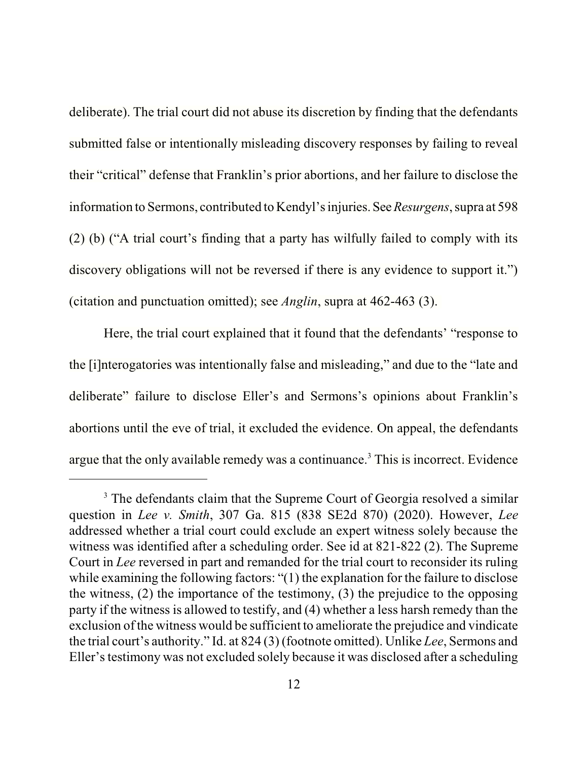deliberate). The trial court did not abuse its discretion by finding that the defendants submitted false or intentionally misleading discovery responses by failing to reveal their "critical" defense that Franklin's prior abortions, and her failure to disclose the information to Sermons, contributed to Kendyl's injuries.See*Resurgens*, supra at 598 (2) (b) ("A trial court's finding that a party has wilfully failed to comply with its discovery obligations will not be reversed if there is any evidence to support it.") (citation and punctuation omitted); see *Anglin*, supra at 462-463 (3).

Here, the trial court explained that it found that the defendants' "response to the [i]nterogatories was intentionally false and misleading," and due to the "late and deliberate" failure to disclose Eller's and Sermons's opinions about Franklin's abortions until the eve of trial, it excluded the evidence. On appeal, the defendants argue that the only available remedy was a continuance.<sup>3</sup> This is incorrect. Evidence

<sup>&</sup>lt;sup>3</sup> The defendants claim that the Supreme Court of Georgia resolved a similar question in *Lee v. Smith*, 307 Ga. 815 (838 SE2d 870) (2020). However, *Lee* addressed whether a trial court could exclude an expert witness solely because the witness was identified after a scheduling order. See id at 821-822 (2). The Supreme Court in *Lee* reversed in part and remanded for the trial court to reconsider its ruling while examining the following factors: "(1) the explanation for the failure to disclose the witness, (2) the importance of the testimony, (3) the prejudice to the opposing party if the witness is allowed to testify, and (4) whether a less harsh remedy than the exclusion of the witness would be sufficient to ameliorate the prejudice and vindicate the trial court's authority." Id. at 824 (3) (footnote omitted). Unlike *Lee*, Sermons and Eller's testimony was not excluded solely because it was disclosed after a scheduling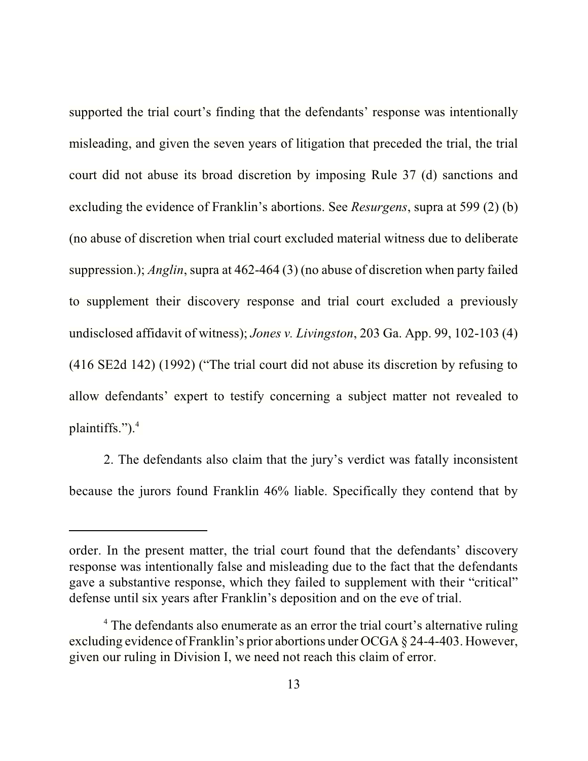supported the trial court's finding that the defendants' response was intentionally misleading, and given the seven years of litigation that preceded the trial, the trial court did not abuse its broad discretion by imposing Rule 37 (d) sanctions and excluding the evidence of Franklin's abortions. See *Resurgens*, supra at 599 (2) (b) (no abuse of discretion when trial court excluded material witness due to deliberate suppression.); *Anglin*, supra at 462-464 (3) (no abuse of discretion when party failed to supplement their discovery response and trial court excluded a previously undisclosed affidavit of witness); *Jones v. Livingston*, 203 Ga. App. 99, 102-103 (4) (416 SE2d 142) (1992) ("The trial court did not abuse its discretion by refusing to allow defendants' expert to testify concerning a subject matter not revealed to plaintiffs."). $4$ 

2. The defendants also claim that the jury's verdict was fatally inconsistent because the jurors found Franklin 46% liable. Specifically they contend that by

order. In the present matter, the trial court found that the defendants' discovery response was intentionally false and misleading due to the fact that the defendants gave a substantive response, which they failed to supplement with their "critical" defense until six years after Franklin's deposition and on the eve of trial.

<sup>&</sup>lt;sup>4</sup> The defendants also enumerate as an error the trial court's alternative ruling excluding evidence of Franklin's prior abortions under OCGA § 24-4-403. However, given our ruling in Division I, we need not reach this claim of error.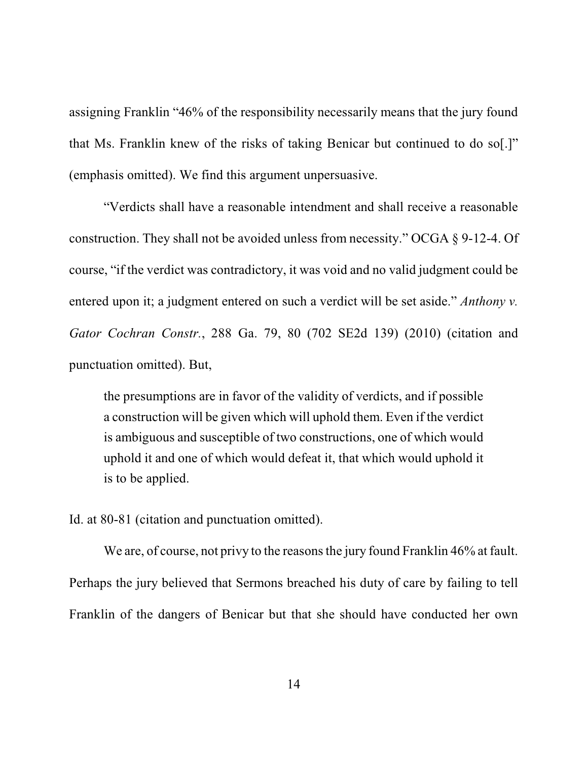assigning Franklin "46% of the responsibility necessarily means that the jury found that Ms. Franklin knew of the risks of taking Benicar but continued to do so[.]" (emphasis omitted). We find this argument unpersuasive.

"Verdicts shall have a reasonable intendment and shall receive a reasonable construction. They shall not be avoided unless from necessity." OCGA § 9-12-4. Of course, "if the verdict was contradictory, it was void and no valid judgment could be entered upon it; a judgment entered on such a verdict will be set aside." *Anthony v. Gator Cochran Constr.*, 288 Ga. 79, 80 (702 SE2d 139) (2010) (citation and punctuation omitted). But,

the presumptions are in favor of the validity of verdicts, and if possible a construction will be given which will uphold them. Even if the verdict is ambiguous and susceptible of two constructions, one of which would uphold it and one of which would defeat it, that which would uphold it is to be applied.

Id. at 80-81 (citation and punctuation omitted).

We are, of course, not privy to the reasons the jury found Franklin 46% at fault. Perhaps the jury believed that Sermons breached his duty of care by failing to tell Franklin of the dangers of Benicar but that she should have conducted her own